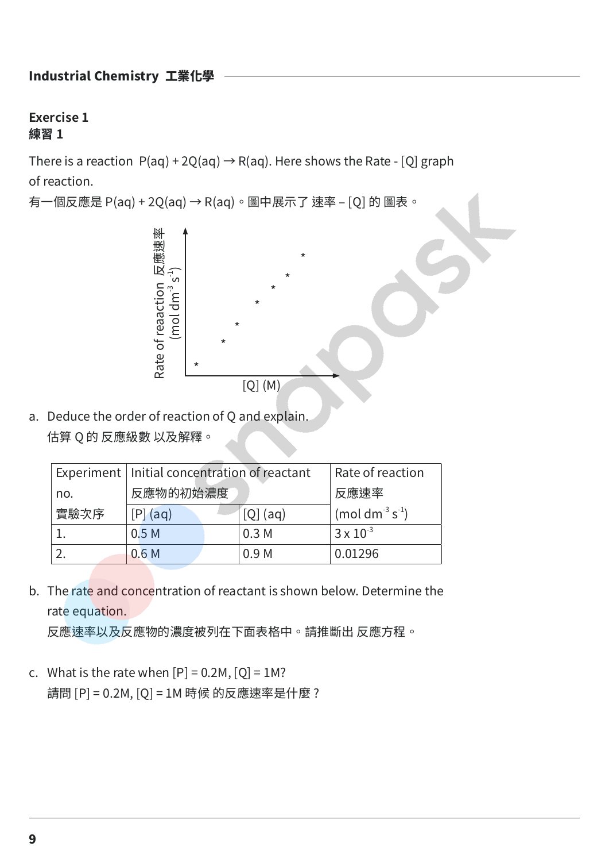## Industrial Chemistry 工業化學

## **Exercise 1 練習 1**

There is a reaction  $P(aq) + 2Q(aq) \rightarrow R(aq)$ . Here shows the Rate - [Q] graph of reaction.

有一個反應是 P(aq) + 2Q(aq) → R(aq)。圖中展示了 速率 – [Q] 的 圖表。



a. Deduce the order of reaction of Q and explain. 估算 Q 的 反應級數 以及解釋。

|      | Experiment   Initial concentration of reactant |                  |  | Rate of reaction          |
|------|------------------------------------------------|------------------|--|---------------------------|
| no.  | 反應物的初始濃度                                       |                  |  | 反應速率                      |
| 實驗次序 | [P](aq)                                        | [Q] (aq)         |  | $(mod \, dm^{-3} s^{-1})$ |
|      | 0.5 <sub>M</sub>                               | 0.3M             |  | $3 \times 10^{-3}$        |
|      | 0.6M                                           | 0.9 <sub>M</sub> |  | 0.01296                   |

b. The rate and concentration of reactant is shown below. Determine the rate equation.

反應速率以及反應物的濃度被列在下面表格中。請推斷出 反應方程。

c. What is the rate when  $[P] = 0.2M$ ,  $[Q] = 1M$ ? 請問 [P] = 0.2M, [Q] = 1M 時候 的反應速率是什麼 ?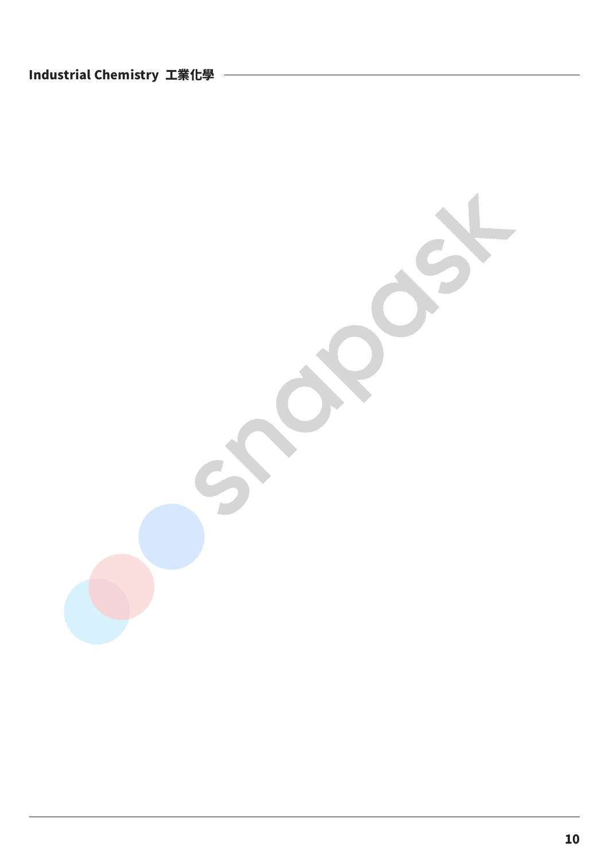## Industrial Chemistry 工業化學